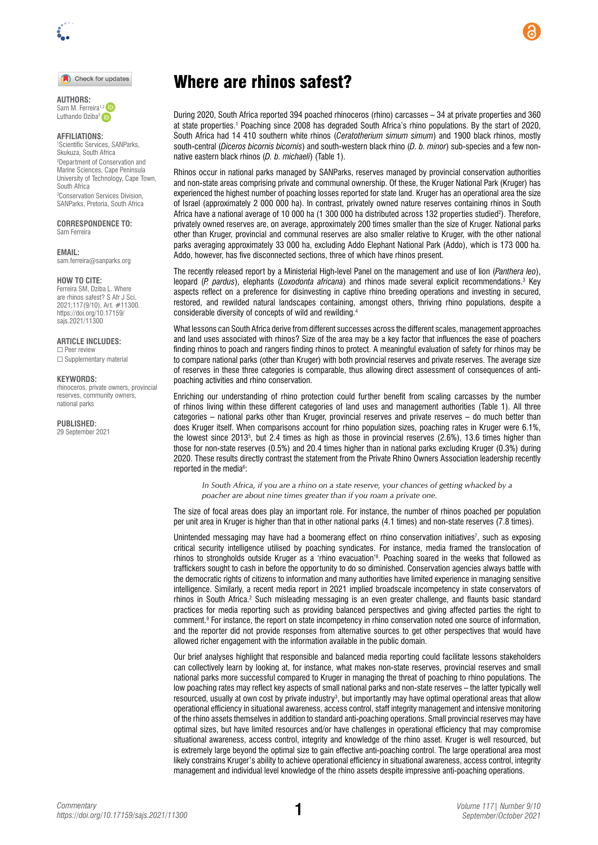#### Check for updates

**AUTHORS:**  Sam M. Ferreira<sup>1,2</sup>

Luthando Dziba<sup>3</sup>

### **AFFILIATIONS:**

1 Scientific Services, SANParks, Skukuza, South Africa 2 Department of Conservation and Marine Sciences, Cape Peninsula University of Technology, Cape Town, South Africa 3 Conservation Services Division, SANParks, Pretoria, South Africa

#### **CORRESPONDENCE TO:**  Sam Ferreira

**EMAIL:** 

[sam.ferreira@sanparks.org](mailto:sam.ferreira@sanparks.org)

#### **HOW TO CITE:**

Ferreira SM, Dziba L. Where are rhinos safest? S Afr J Sci. 2021;117(9/10), Art. #11300. [https://doi.org/10.17159/](https://doi.org/10.17159/sajs.2021/11300) [sajs.2021/11300](https://doi.org/10.17159/sajs.2021/11300)

#### **ARTICLE INCLUDES:**

☐ Peer review □ Supplementary material

### **KEYWORDS:**

rhinoceros, private owners, provincial reserves, community owners, national parks

**PUBLISHED:**  29 September 2021

# Where are rhinos safest?

During 2020, South Africa reported 394 poached rhinoceros (rhino) carcasses – 34 at private properties and 360 at state properties.<sup>1</sup> Poaching since 2008 has degraded South Africa's rhino populations. By the start of 2020, South Africa had 14 410 southern white rhinos (*Ceratotherium simum simum*) and 1900 black rhinos, mostly south-central (*Diceros bicornis bicornis*) and south-western black rhino (*D. b. minor*) sub-species and a few nonnative eastern black rhinos (*D. b. michaeli*) (Table 1).

Rhinos occur in national parks managed by SANParks, reserves managed by provincial conservation authorities and non-state areas comprising private and communal ownership. Of these, the Kruger National Park (Kruger) has experienced the highest number of poaching losses reported for state land. Kruger has an operational area the size of Israel (approximately 2 000 000 ha). In contrast, privately owned nature reserves containing rhinos in South Africa have a national average of 10 000 ha (1 300 000 ha distributed across 132 properties studied<sup>2</sup>). Therefore, privately owned reserves are, on average, approximately 200 times smaller than the size of Kruger. National parks other than Kruger, provincial and communal reserves are also smaller relative to Kruger, with the other national parks averaging approximately 33 000 ha, excluding Addo Elephant National Park (Addo), which is 173 000 ha. Addo, however, has five disconnected sections, three of which have rhinos present.

The recently released report by a Ministerial High-level Panel on the management and use of lion (*Panthera leo*), leopard (*P. pardus*), elephants (*Loxodonta africana*) and rhinos made several explicit recommendations.<sup>3</sup> Key aspects reflect on a preference for disinvesting in captive rhino breeding operations and investing in secured, restored, and rewilded natural landscapes containing, amongst others, thriving rhino populations, despite a considerable diversity of concepts of wild and rewilding.4

What lessons can South Africa derive from different successes across the different scales, management approaches and land uses associated with rhinos? Size of the area may be a key factor that influences the ease of poachers finding rhinos to poach and rangers finding rhinos to protect. A meaningful evaluation of safety for rhinos may be to compare national parks (other than Kruger) with both provincial reserves and private reserves. The average size of reserves in these three categories is comparable, thus allowing direct assessment of consequences of antipoaching activities and rhino conservation.

Enriching our understanding of rhino protection could further benefit from scaling carcasses by the number of rhinos living within these different categories of land uses and management authorities (Table 1). All three categories – national parks other than Kruger, provincial reserves and private reserves – do much better than does Kruger itself. When comparisons account for rhino population sizes, poaching rates in Kruger were 6.1%, the lowest since 20135 , but 2.4 times as high as those in provincial reserves (2.6%), 13.6 times higher than those for non-state reserves (0.5%) and 20.4 times higher than in national parks excluding Kruger (0.3%) during 2020. These results directly contrast the statement from the Private Rhino Owners Association leadership recently reported in the media<sup>6</sup>:

*In South Africa, if you are a rhino on a state reserve, your chances of getting whacked by a poacher are about nine times greater than if you roam a private one.*

The size of focal areas does play an important role. For instance, the number of rhinos poached per population per unit area in Kruger is higher than that in other national parks (4.1 times) and non-state reserves (7.8 times).

Unintended messaging may have had a boomerang effect on rhino conservation initiatives<sup>7</sup>, such as exposing critical security intelligence utilised by poaching syndicates. For instance, media framed the translocation of rhinos to strongholds outside Kruger as a 'rhino evacuation'8 . Poaching soared in the weeks that followed as traffickers sought to cash in before the opportunity to do so diminished. Conservation agencies always battle with the democratic rights of citizens to information and many authorities have limited experience in managing sensitive intelligence. Similarly, a recent media report in 2021 implied broadscale incompetency in state conservators of rhinos in South Africa.<sup>2</sup> Such misleading messaging is an even greater challenge, and flaunts basic standard practices for media reporting such as providing balanced perspectives and giving affected parties the right to comment.<sup>9</sup> For instance, the report on state incompetency in rhino conservation noted one source of information, and the reporter did not provide responses from alternative sources to get other perspectives that would have allowed richer engagement with the information available in the public domain.

Our brief analyses highlight that responsible and balanced media reporting could facilitate lessons stakeholders can collectively learn by looking at, for instance, what makes non-state reserves, provincial reserves and small national parks more successful compared to Kruger in managing the threat of poaching to rhino populations. The low poaching rates may reflect key aspects of small national parks and non-state reserves – the latter typically well resourced, usually at own cost by private industry $^3$ , but importantly may have optimal operational areas that allow operational efficiency in situational awareness, access control, staff integrity management and intensive monitoring of the rhino assets themselves in addition to standard anti-poaching operations. Small provincial reserves may have optimal sizes, but have limited resources and/or have challenges in operational efficiency that may compromise situational awareness, access control, integrity and knowledge of the rhino asset. Kruger is well resourced, but is extremely large beyond the optimal size to gain effective anti-poaching control. The large operational area most likely constrains Kruger's ability to achieve operational efficiency in situational awareness, access control, integrity management and individual level knowledge of the rhino assets despite impressive anti-poaching operations.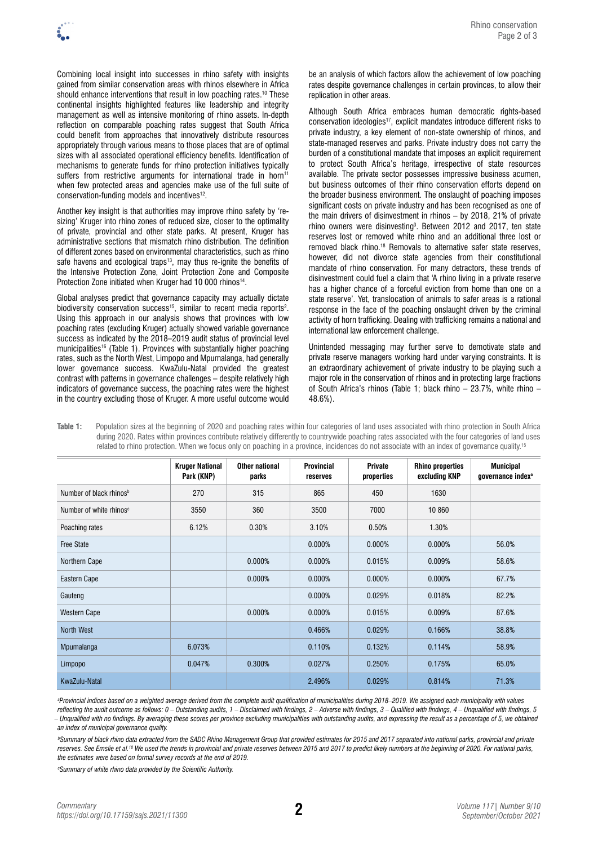Combining local insight into successes in rhino safety with insights gained from similar conservation areas with rhinos elsewhere in Africa should enhance interventions that result in low poaching rates.<sup>10</sup> These continental insights highlighted features like leadership and integrity management as well as intensive monitoring of rhino assets. In-depth reflection on comparable poaching rates suggest that South Africa could benefit from approaches that innovatively distribute resources appropriately through various means to those places that are of optimal sizes with all associated operational efficiency benefits. Identification of mechanisms to generate funds for rhino protection initiatives typically suffers from restrictive arguments for international trade in horn<sup>11</sup> when few protected areas and agencies make use of the full suite of conservation-funding models and incentives<sup>12</sup>.

Another key insight is that authorities may improve rhino safety by 'resizing' Kruger into rhino zones of reduced size, closer to the optimality of private, provincial and other state parks. At present, Kruger has administrative sections that mismatch rhino distribution. The definition of different zones based on environmental characteristics, such as rhino safe havens and ecological traps<sup>13</sup>, may thus re-ignite the benefits of the Intensive Protection Zone, Joint Protection Zone and Composite Protection Zone initiated when Kruger had 10 000 rhinos<sup>14</sup>.

Global analyses predict that governance capacity may actually dictate biodiversity conservation success<sup>15</sup>, similar to recent media reports<sup>2</sup>. Using this approach in our analysis shows that provinces with low poaching rates (excluding Kruger) actually showed variable governance success as indicated by the 2018–2019 audit status of provincial level municipalities<sup>16</sup> (Table 1). Provinces with substantially higher poaching rates, such as the North West, Limpopo and Mpumalanga, had generally lower governance success. KwaZulu-Natal provided the greatest contrast with patterns in governance challenges – despite relatively high indicators of governance success, the poaching rates were the highest in the country excluding those of Kruger. A more useful outcome would be an analysis of which factors allow the achievement of low poaching rates despite governance challenges in certain provinces, to allow their replication in other areas.

Although South Africa embraces human democratic rights-based conservation ideologies<sup>17</sup>, explicit mandates introduce different risks to private industry, a key element of non-state ownership of rhinos, and state-managed reserves and parks. Private industry does not carry the burden of a constitutional mandate that imposes an explicit requirement to protect South Africa's heritage, irrespective of state resources available. The private sector possesses impressive business acumen, but business outcomes of their rhino conservation efforts depend on the broader business environment. The onslaught of poaching imposes significant costs on private industry and has been recognised as one of the main drivers of disinvestment in rhinos – by 2018, 21% of private rhino owners were disinvesting<sup>3</sup>. Between 2012 and 2017, ten state reserves lost or removed white rhino and an additional three lost or removed black rhino.18 Removals to alternative safer state reserves, however, did not divorce state agencies from their constitutional mandate of rhino conservation. For many detractors, these trends of disinvestment could fuel a claim that 'A rhino living in a private reserve has a higher chance of a forceful eviction from home than one on a state reserve'. Yet, translocation of animals to safer areas is a rational response in the face of the poaching onslaught driven by the criminal activity of horn trafficking. Dealing with trafficking remains a national and international law enforcement challenge.

Unintended messaging may further serve to demotivate state and private reserve managers working hard under varying constraints. It is an extraordinary achievement of private industry to be playing such a major role in the conservation of rhinos and in protecting large fractions of South Africa's rhinos (Table 1; black rhino – 23.7%, white rhino – 48.6%).

**Table 1:** Population sizes at the beginning of 2020 and poaching rates within four categories of land uses associated with rhino protection in South Africa during 2020. Rates within provinces contribute relatively differently to countrywide poaching rates associated with the four categories of land uses related to rhino protection. When we focus only on poaching in a province, incidences do not associate with an index of governance quality.<sup>15</sup>

|                                     | <b>Kruger National</b><br>Park (KNP) | Other national<br>parks | <b>Provincial</b><br>reserves | Private<br>properties | <b>Rhino properties</b><br>excluding KNP | Municipal<br>governance index <sup>a</sup> |
|-------------------------------------|--------------------------------------|-------------------------|-------------------------------|-----------------------|------------------------------------------|--------------------------------------------|
| Number of black rhinos <sup>b</sup> | 270                                  | 315                     | 865                           | 450                   | 1630                                     |                                            |
| Number of white rhinos <sup>c</sup> | 3550                                 | 360                     | 3500                          | 7000                  | 10 860                                   |                                            |
| Poaching rates                      | 6.12%                                | 0.30%                   | 3.10%                         | 0.50%                 | 1.30%                                    |                                            |
| <b>Free State</b>                   |                                      |                         | 0.000%                        | $0.000\%$             | 0.000%                                   | 56.0%                                      |
| Northern Cape                       |                                      | 0.000%                  | 0.000%                        | 0.015%                | 0.009%                                   | 58.6%                                      |
| Eastern Cape                        |                                      | 0.000%                  | $0.000\%$                     | 0.000%                | 0.000%                                   | 67.7%                                      |
| Gauteng                             |                                      |                         | 0.000%                        | 0.029%                | 0.018%                                   | 82.2%                                      |
| <b>Western Cape</b>                 |                                      | 0.000%                  | 0.000%                        | 0.015%                | 0.009%                                   | 87.6%                                      |
| North West                          |                                      |                         | 0.466%                        | 0.029%                | 0.166%                                   | 38.8%                                      |
| Mpumalanga                          | 6.073%                               |                         | 0.110%                        | 0.132%                | 0.114%                                   | 58.9%                                      |
| Limpopo                             | 0.047%                               | 0.300%                  | 0.027%                        | 0.250%                | 0.175%                                   | 65.0%                                      |
| KwaZulu-Natal                       |                                      |                         | 2.496%                        | 0.029%                | 0.814%                                   | 71.3%                                      |

*a Provincial indices based on a weighted average derived from the complete audit qualification of municipalities during 2018–2019. We assigned each municipality with values*  reflecting the audit outcome as follows: 0 – Outstanding audits, 1 – Disclaimed with findings, 2 – Adverse with findings, 3 – Qualified with findings, 4 – Unqualified with findings, 5 *– Unqualified with no findings. By averaging these scores per province excluding municipalities with outstanding audits, and expressing the result as a percentage of 5, we obtained an index of municipal governance quality.*

*b Summary of black rhino data extracted from the SADC Rhino Management Group that provided estimates for 2015 and 2017 separated into national parks, provincial and private reserves. See Emslie et al.18 We used the trends in provincial and private reserves between 2015 and 2017 to predict likely numbers at the beginning of 2020. For national parks, the estimates were based on formal survey records at the end of 2019.* 

*c Summary of white rhino data provided by the Scientific Authority.*